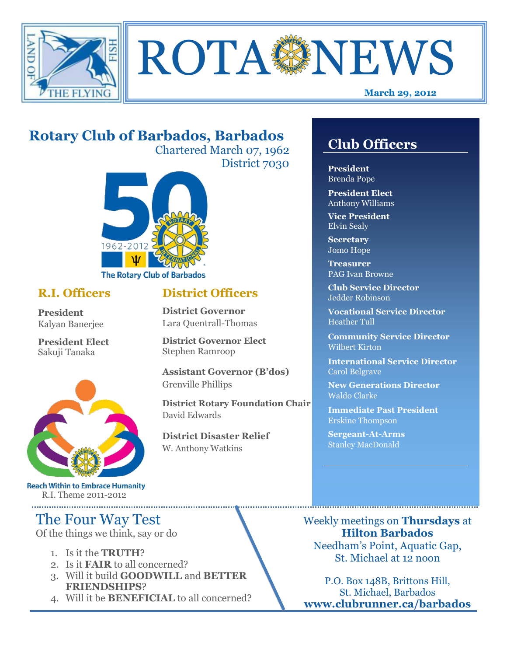



# **Rotary Club of Barbados, Barbados**

Chartered March 07, 1962 District 7030

**District Officers**

**District Governor Elect**

**District Disaster Relief**

W. Anthony Watkins

**Assistant Governor (B'dos)**

**District Rotary Foundation Chair**

**District Governor** Lara Quentrall-Thomas

Stephen Ramroop

Grenville Phillips

David Edwards



#### **R.I. Officers**

**President**  Kalyan Banerjee

**President Elect** Sakuji Tanaka



**Reach Within to Embrace Humanity** R.I. Theme 2011-2012

## The Four Way Test

Of the things we think, say or do

- 1. Is it the **TRUTH**?
- 2. Is it **FAIR** to all concerned?
- 3. Will it build **GOODWILL** and **BETTER FRIENDSHIPS**?
- 4. Will it be **BENEFICIAL** to all concerned?

## **Club Officers**

**Club Officers** 

**President** Brenda Pope

**President Elect** Anthony Williams

**Vice President** Elvin Sealy

**Secretary** Jomo Hope

**Treasurer** PAG Ivan Browne

**Club Service Director** Jedder Robinson

**Vocational Service Director** Heather Tull

**Community Service Director** Wilbert Kirton

**International Service Director** Carol Belgrave

**New Generations Director** Waldo Clarke

**Immediate Past President** Erskine Thompson

**Sergeant-At-Arms** Stanley MacDonald

Weekly meetings on **Thursdays** at **Hilton Barbados** Needham's Point, Aquatic Gap, St. Michael at 12 noon

P.O. Box 148B, Brittons Hill, St. Michael, Barbados **www.clubrunner.ca/barbados**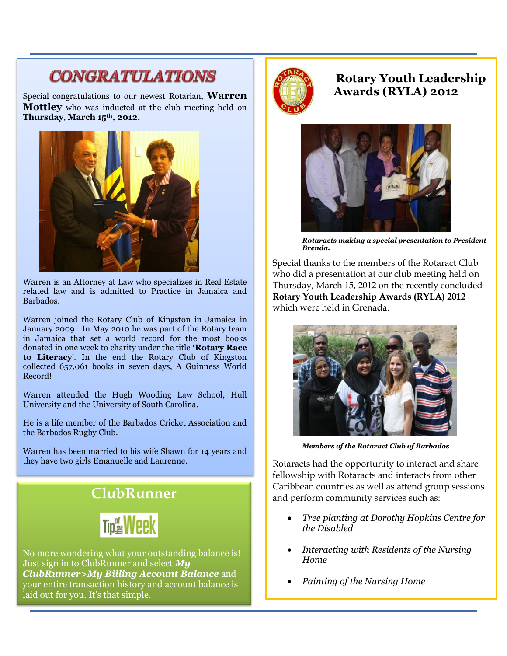# **CONGRATULATIONS**

Special congratulations to our newest Rotarian, **Warren Mottley** who was inducted at the club meeting held on **Thursday**, **March 15th, 2012.** 



Warren is an Attorney at Law who specializes in Real Estate related law and is admitted to Practice in Jamaica and Barbados.

Warren joined the Rotary Club of Kingston in Jamaica in January 2009. In May 2010 he was part of the Rotary team in Jamaica that set a world record for the most books donated in one week to charity under the title **'Rotary Race to Literacy**'. In the end the Rotary Club of Kingston collected 657,061 books in seven days, A Guinness World Record!

Warren attended the Hugh Wooding Law School, Hull University and the University of South Carolina.

He is a life member of the Barbados Cricket Association and the Barbados Rugby Club.

Warren has been married to his wife Shawn for 14 years and they have two girls Emanuelle and Laurenne.

# **ClubRunner**



No more wondering what your outstanding balance is! Just sign in to ClubRunner and select *My ClubRunner>My Billing Account Balance* and your entire transaction history and account balance is laid out for you. It's that simple.



**Rotary Youth Leadership Awards (RYLA) 2012**



*Rotaracts making a special presentation to President Brenda.*

Special thanks to the members of the Rotaract Club who did a presentation at our club meeting held on Thursday, March 15, 2012 on the recently concluded **Rotary Youth Leadership Awards (RYLA) 2012** which were held in Grenada.



*Members of the Rotaract Club of Barbados*

Rotaracts had the opportunity to interact and share fellowship with Rotaracts and interacts from other Caribbean countries as well as attend group sessions and perform community services such as:

- *Tree planting at Dorothy Hopkins Centre for the Disabled*
- *Interacting with Residents of the Nursing Home*
- *Painting of the Nursing Home*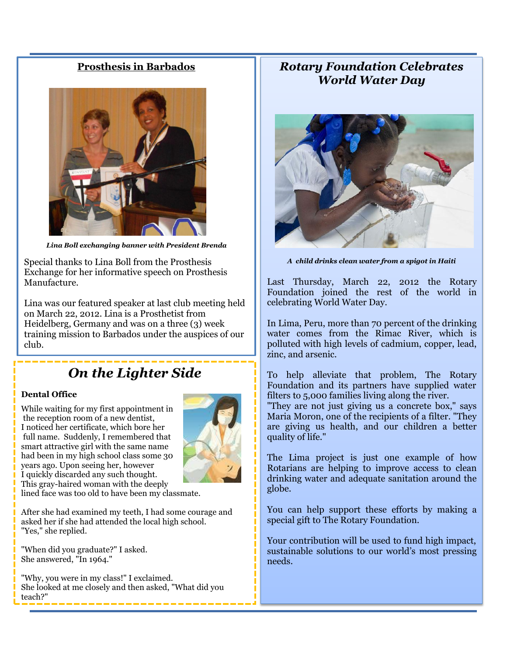#### **Prosthesis in Barbados**



*Lina Boll exchanging banner with President Brenda*

Special thanks to Lina Boll from the Prosthesis Exchange for her informative speech on Prosthesis Manufacture.

Lina was our featured speaker at last club meeting held on March 22, 2012. Lina is a Prosthetist from Heidelberg, Germany and was on a three (3) week training mission to Barbados under the auspices of our club.

## *On the Lighter Side*

#### **Dental Office**

While waiting for my first appointment in the reception room of a new dentist, I noticed her certificate, which bore her full name. Suddenly, I remembered that smart attractive girl with the same name had been in my high school class some 30 years ago. Upon seeing her, however I quickly discarded any such thought. This gray-haired woman with the deeply



lined face was too old to have been my classmate.

After she had examined my teeth, I had some courage and asked her if she had attended the local high school. "Yes," she replied.

"When did you graduate?" I asked. She answered, "In 1964."

"Why, you were in my class!" I exclaimed. She looked at me closely and then asked, "What did you teach?"

### *Rotary Foundation Celebrates World Water Day*



*A child drinks clean water from a spigot in Haiti*

Last Thursday, March 22, 2012 the Rotary Foundation joined the rest of the world in celebrating World Water Day.

In Lima, Peru, more than 70 percent of the drinking water comes from the Rimac River, which is polluted with high levels of cadmium, copper, lead, zinc, and arsenic.

To help alleviate that problem, The Rotary Foundation and its partners have supplied water filters to 5,000 families living along the river.

"They are not just giving us a concrete box," says Maria Moron, one of the recipients of a filter. "They are giving us health, and our children a better quality of life."

The Lima project is just one example of how Rotarians are helping to improve access to clean drinking water and adequate sanitation around the globe.

You can help support these efforts by making a special gift to The Rotary Foundation.

Your contribution will be used to fund high impact, sustainable solutions to our world's most pressing needs.